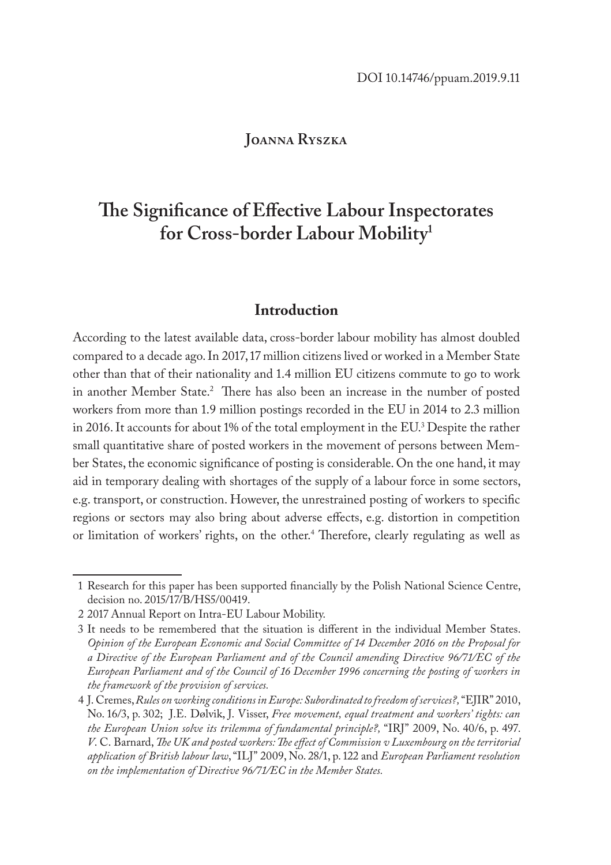### **Joanna Ryszka**

# **The Significance of Effective Labour Inspectorates for Cross-border Labour Mobility1**

#### **Introduction**

According to the latest available data, cross-border labour mobility has almost doubled compared to a decade ago. In 2017, 17 million citizens lived or worked in a Member State other than that of their nationality and 1.4 million EU citizens commute to go to work in another Member State.2 There has also been an increase in the number of posted workers from more than 1.9 million postings recorded in the EU in 2014 to 2.3 million in 2016. It accounts for about 1% of the total employment in the EU.3 Despite the rather small quantitative share of posted workers in the movement of persons between Member States, the economic significance of posting is considerable. On the one hand, it may aid in temporary dealing with shortages of the supply of a labour force in some sectors, e.g. transport, or construction. However, the unrestrained posting of workers to specific regions or sectors may also bring about adverse effects, e.g. distortion in competition or limitation of workers' rights, on the other.4 Therefore, clearly regulating as well as

<sup>1</sup> Research for this paper has been supported financially by the Polish National Science Centre, decision no. 2015/17/B/HS5/00419.

<sup>2</sup> 2017 Annual Report on Intra-EU Labour Mobility.

<sup>3</sup> It needs to be remembered that the situation is different in the individual Member States. *Opinion of the European Economic and Social Committee of 14 December 2016 on the Proposal for a Directive of the European Parliament and of the Council amending Directive 96/71/EC of the European Parliament and of the Council of 16 December 1996 concerning the posting of workers in the framework of the provision of services.*

<sup>4</sup> J. Cremes, *Rules on working conditions in Europe: Subordinated to freedom of services?,* "EJIR" 2010, No. 16/3, p. 302; J.E. Dølvik, J. Visser, *Free movement, equal treatment and workers' tights: can the European Union solve its trilemma of fundamental principle?,* "IRJ" 2009, No. 40/6, p. 497. *V*. C. Barnard, *The UK and posted workers: The effect of Commission v Luxembourg on the territorial application of British labour law*, "ILJ" 2009, No. 28/1, p. 122 and *European Parliament resolution on the implementation of Directive 96/71/EC in the Member States.*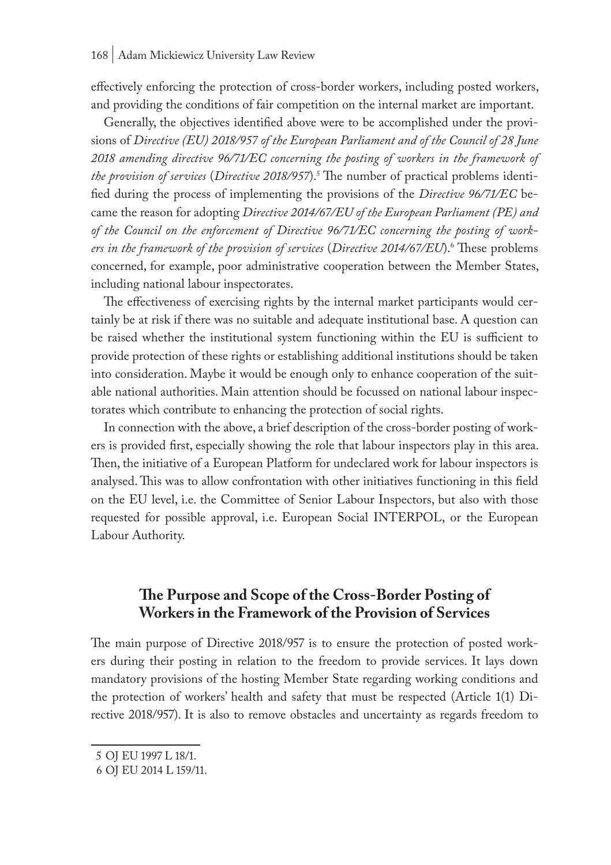effectively enforcing the protection of cross-border workers, including posted workers, and providing the conditions of fair competition on the internal market are important.

Generally, the objectives identified above were to be accomplished under the provisions of *Directive (EU) 2018/957 of the European Parliament and of the Council of 28 June 2018 amending directive 96/71/EC concerning the posting of workers in the framework of the provision of services* (*Directive 2018/957*).5 The number of practical problems identified during the process of implementing the provisions of the *Directive 96/71/EC* became the reason for adopting *Directive 2014/67/EU of the European Parliament (PE) and of the Council on the enforcement of Directive 96/71/EC concerning the posting of workers in the framework of the provision of services* (*Directive 2014/67/EU*).6 These problems concerned, for example, poor administrative cooperation between the Member States, including national labour inspectorates.

The effectiveness of exercising rights by the internal market participants would certainly be at risk if there was no suitable and adequate institutional base. A question can be raised whether the institutional system functioning within the EU is sufficient to provide protection of these rights or establishing additional institutions should be taken into consideration. Maybe it would be enough only to enhance cooperation of the suitable national authorities. Main attention should be focussed on national labour inspectorates which contribute to enhancing the protection of social rights.

In connection with the above, a brief description of the cross-border posting of workers is provided first, especially showing the role that labour inspectors play in this area. Then, the initiative of a European Platform for undeclared work for labour inspectors is analysed. This was to allow confrontation with other initiatives functioning in this field on the EU level, i.e. the Committee of Senior Labour Inspectors, but also with those requested for possible approval, i.e. European Social INTERPOL, or the European Labour Authority.

# **The Purpose and Scope of the Cross-Border Posting of Workers in the Framework of the Provision of Services**

The main purpose of Directive 2018/957 is to ensure the protection of posted workers during their posting in relation to the freedom to provide services. It lays down mandatory provisions of the hosting Member State regarding working conditions and the protection of workers' health and safety that must be respected (Article 1(1) Directive 2018/957). It is also to remove obstacles and uncertainty as regards freedom to

<sup>5</sup> OJ EU 1997 L 18/1.

<sup>6</sup> OJ EU 2014 L 159/11.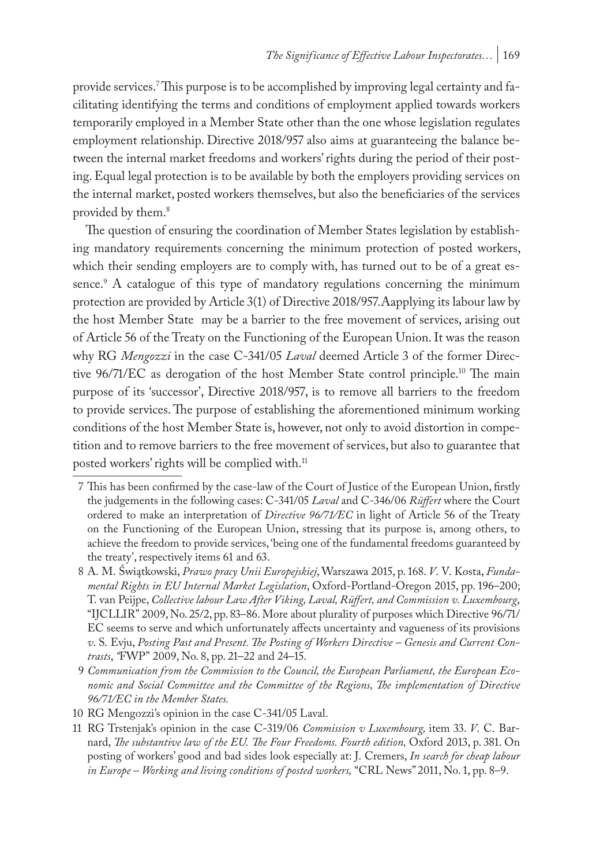provide services.'This purpose is to be accomplished by improving legal certainty and facilitating identifying the terms and conditions of employment applied towards workers temporarily employed in a Member State other than the one whose legislation regulates employment relationship. Directive 2018/957 also aims at guaranteeing the balance between the internal market freedoms and workers' rights during the period of their posting. Equal legal protection is to be available by both the employers providing services on the internal market, posted workers themselves, but also the beneficiaries of the services provided by them.<sup>8</sup>

The question of ensuring the coordination of Member States legislation by establishing mandatory requirements concerning the minimum protection of posted workers, which their sending employers are to comply with, has turned out to be of a great essence.9 A catalogue of this type of mandatory regulations concerning the minimum protection are provided by Article 3(1) of Directive 2018/957*.*Aapplying its labour law by the host Member State may be a barrier to the free movement of services, arising out of Article 56 of the Treaty on the Functioning of the European Union. It was the reason why RG *Mengozzi* in the case C-341/05 *Laval* deemed Article 3 of the former Directive 96/71/EC as derogation of the host Member State control principle.10 The main purpose of its 'successor', Directive 2018/957, is to remove all barriers to the freedom to provide services. The purpose of establishing the aforementioned minimum working conditions of the host Member State is, however, not only to avoid distortion in competition and to remove barriers to the free movement of services, but also to guarantee that posted workers' rights will be complied with.<sup>11</sup>

<sup>7</sup> This has been confirmed by the case-law of the Court of Justice of the European Union, firstly the judgements in the following cases: C-341/05 *Laval* and C-346/06 *Rüffert* where the Court ordered to make an interpretation of *Directive 96/71/EC* in light of Article 56 of the Treaty on the Functioning of the European Union, stressing that its purpose is, among others, to achieve the freedom to provide services, 'being one of the fundamental freedoms guaranteed by the treaty', respectively items 61 and 63.

<sup>8</sup> A. M. Świątkowski, *Prawo pracy Unii Europejskiej*, Warszawa 2015, p. 168. *V*. V. Kosta, *Fundamental Rights in EU Internal Market Legislation*, Oxford-Portland-Oregon 2015, pp. 196–200; T. van Peijpe, *Collective labour Law After Viking, Laval, Rüffert, and Commission v. Luxembourg*, "IJCLLIR" 2009, No. 25/2, pp. 83–86. More about plurality of purposes which Directive 96/71/ EC seems to serve and which unfortunately affects uncertainty and vagueness of its provisions *v*. S. Evju, *Posting Past and Present. The Posting of Workers Directive – Genesis and Current Contrasts*, *"*FWP" 2009, No. 8, pp. 21–22 and 24–15.

<sup>9</sup> *Communication from the Commission to the Council, the European Parliament, the European Economic and Social Committee and the Committee of the Regions, The implementation of Directive 96/71/EC in the Member States.*

<sup>10</sup> RG Mengozzi's opinion in the case C-341/05 Laval.

<sup>11</sup> RG Trstenjak's opinion in the case C-319/06 *Commission v Luxembourg,* item 33. *V*. C. Barnard, *The substantive law of the EU. The Four Freedoms. Fourth edition,* Oxford 2013, p. 381. On posting of workers' good and bad sides look especially at: J. Cremers, *In search for cheap labour in Europe – Working and living conditions of posted workers,* "CRL News" 2011, No. 1, pp. 8–9.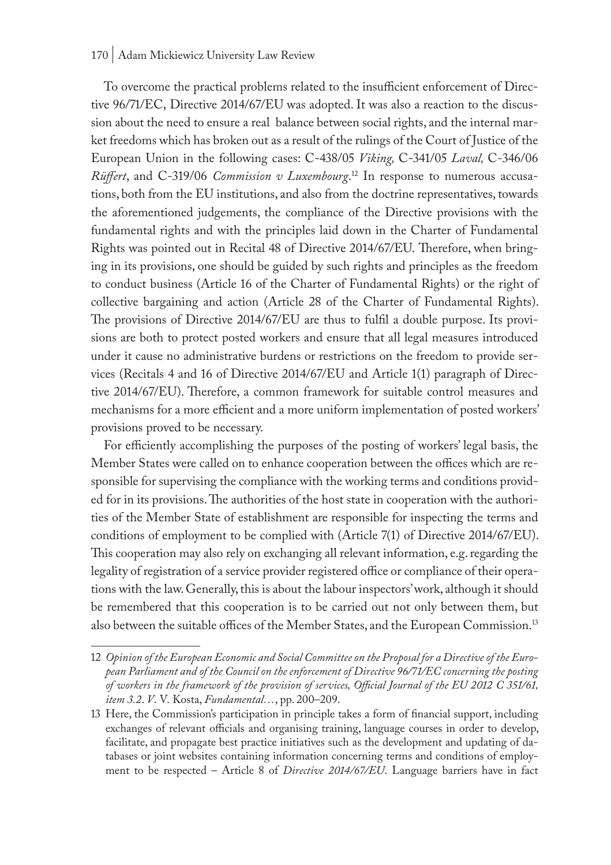#### 170 | Adam Mickiewicz University Law Review

To overcome the practical problems related to the insufficient enforcement of Directive 96/71/EC, Directive 2014/67/EU was adopted. It was also a reaction to the discussion about the need to ensure a real balance between social rights, and the internal market freedoms which has broken out as a result of the rulings of the Court of Justice of the European Union in the following cases: C-438/05 *Viking,* C-341/05 *Laval,* C-346/06 *Rüffert*, and C-319/06 *Commission v Luxembourg*. 12 In response to numerous accusations, both from the EU institutions, and also from the doctrine representatives, towards the aforementioned judgements, the compliance of the Directive provisions with the fundamental rights and with the principles laid down in the Charter of Fundamental Rights was pointed out in Recital 48 of Directive 2014/67/EU. Therefore, when bringing in its provisions, one should be guided by such rights and principles as the freedom to conduct business (Article 16 of the Charter of Fundamental Rights) or the right of collective bargaining and action (Article 28 of the Charter of Fundamental Rights). The provisions of Directive 2014/67/EU are thus to fulfil a double purpose. Its provisions are both to protect posted workers and ensure that all legal measures introduced under it cause no administrative burdens or restrictions on the freedom to provide services (Recitals 4 and 16 of Directive 2014/67/EU and Article 1(1) paragraph of Directive 2014/67/EU). Therefore, a common framework for suitable control measures and mechanisms for a more efficient and a more uniform implementation of posted workers' provisions proved to be necessary.

For efficiently accomplishing the purposes of the posting of workers' legal basis, the Member States were called on to enhance cooperation between the offices which are responsible for supervising the compliance with the working terms and conditions provided for in its provisions. The authorities of the host state in cooperation with the authorities of the Member State of establishment are responsible for inspecting the terms and conditions of employment to be complied with (Article 7(1) of Directive 2014/67/EU). This cooperation may also rely on exchanging all relevant information, e.g. regarding the legality of registration of a service provider registered office or compliance of their operations with the law. Generally, this is about the labour inspectors' work, although it should be remembered that this cooperation is to be carried out not only between them, but also between the suitable offices of the Member States, and the European Commission.<sup>13</sup>

<sup>12</sup> *Opinion of the European Economic and Social Committee on the Proposal for a Directive of the European Parliament and of the Council on the enforcement of Directive 96/71/EC concerning the posting of workers in the framework of the provision of services, Official Journal of the EU 2012 C 351/61, item 3.2*. *V*. V. Kosta, *Fundamental…*, pp. 200–209.

<sup>13</sup> Here, the Commission's participation in principle takes a form of financial support, including exchanges of relevant officials and organising training, language courses in order to develop, facilitate, and propagate best practice initiatives such as the development and updating of databases or joint websites containing information concerning terms and conditions of employment to be respected – Article 8 of *Directive 2014/67/EU*. Language barriers have in fact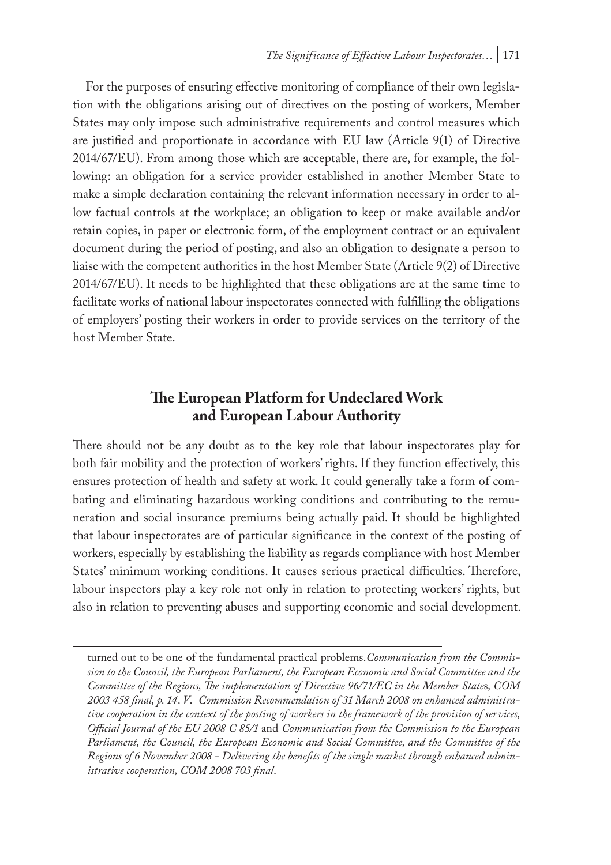For the purposes of ensuring effective monitoring of compliance of their own legislation with the obligations arising out of directives on the posting of workers, Member States may only impose such administrative requirements and control measures which are justified and proportionate in accordance with EU law (Article 9(1) of Directive 2014/67/EU). From among those which are acceptable, there are, for example, the following: an obligation for a service provider established in another Member State to make a simple declaration containing the relevant information necessary in order to allow factual controls at the workplace; an obligation to keep or make available and/or retain copies, in paper or electronic form, of the employment contract or an equivalent document during the period of posting, and also an obligation to designate a person to liaise with the competent authorities in the host Member State (Article 9(2) of Directive 2014/67/EU). It needs to be highlighted that these obligations are at the same time to facilitate works of national labour inspectorates connected with fulfilling the obligations of employers' posting their workers in order to provide services on the territory of the host Member State.

# **The European Platform for Undeclared Work and European Labour Authority**

There should not be any doubt as to the key role that labour inspectorates play for both fair mobility and the protection of workers' rights. If they function effectively, this ensures protection of health and safety at work. It could generally take a form of combating and eliminating hazardous working conditions and contributing to the remuneration and social insurance premiums being actually paid. It should be highlighted that labour inspectorates are of particular significance in the context of the posting of workers, especially by establishing the liability as regards compliance with host Member States' minimum working conditions. It causes serious practical difficulties. Therefore, labour inspectors play a key role not only in relation to protecting workers' rights, but also in relation to preventing abuses and supporting economic and social development.

turned out to be one of the fundamental practical problems.*Communication from the Commission to the Council, the European Parliament, the European Economic and Social Committee and the Committee of the Regions, The implementation of Directive 96/71/EC in the Member State*s*, COM 2003 458 final, p. 14*. *V*. *Commission Recommendation of 31 March 2008 on enhanced administrative cooperation in the context of the posting of workers in the framework of the provision of services, Official Journal of the EU 2008 C 85/1* and *Communication from the Commission to the European Parliament, the Council, the European Economic and Social Committee, and the Committee of the Regions of 6 November 2008 - Delivering the benefits of the single market through enhanced administrative cooperation, COM 2008 703 final*.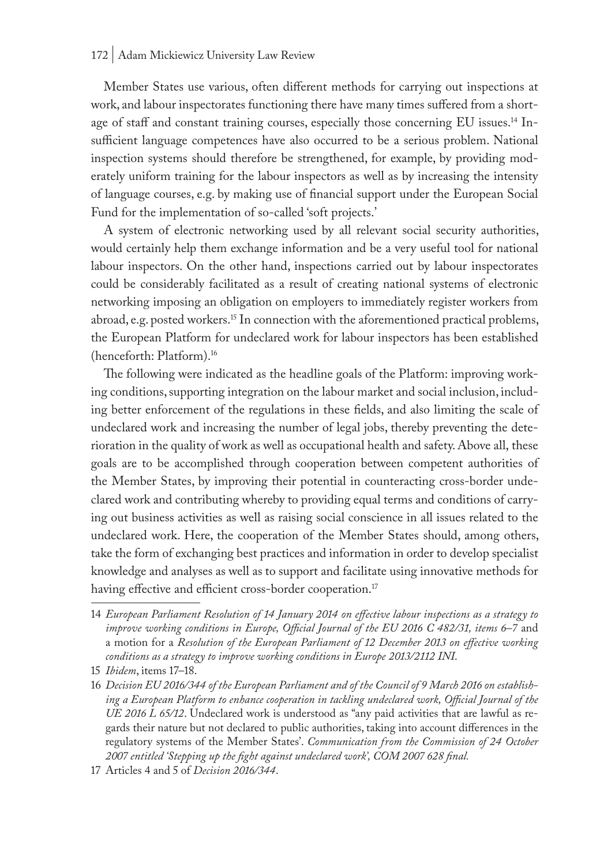Member States use various, often different methods for carrying out inspections at work, and labour inspectorates functioning there have many times suffered from a shortage of staff and constant training courses, especially those concerning EU issues.<sup>14</sup> Insufficient language competences have also occurred to be a serious problem. National inspection systems should therefore be strengthened, for example, by providing moderately uniform training for the labour inspectors as well as by increasing the intensity of language courses, e.g. by making use of financial support under the European Social Fund for the implementation of so-called 'soft projects.'

A system of electronic networking used by all relevant social security authorities, would certainly help them exchange information and be a very useful tool for national labour inspectors. On the other hand, inspections carried out by labour inspectorates could be considerably facilitated as a result of creating national systems of electronic networking imposing an obligation on employers to immediately register workers from abroad, e.g. posted workers.15 In connection with the aforementioned practical problems, the European Platform for undeclared work for labour inspectors has been established (henceforth: Platform).16

The following were indicated as the headline goals of the Platform: improving working conditions, supporting integration on the labour market and social inclusion, including better enforcement of the regulations in these fields, and also limiting the scale of undeclared work and increasing the number of legal jobs, thereby preventing the deterioration in the quality of work as well as occupational health and safety. Above all, these goals are to be accomplished through cooperation between competent authorities of the Member States, by improving their potential in counteracting cross-border undeclared work and contributing whereby to providing equal terms and conditions of carrying out business activities as well as raising social conscience in all issues related to the undeclared work. Here, the cooperation of the Member States should, among others, take the form of exchanging best practices and information in order to develop specialist knowledge and analyses as well as to support and facilitate using innovative methods for having effective and efficient cross-border cooperation.<sup>17</sup>

<sup>14</sup> *European Parliament Resolution of 14 January 2014 on effective labour inspections as a strategy to improve working conditions in Europe, Official Journal of the EU 2016 C 482/31, items 6–7* and a motion for a *Resolution of the European Parliament of 12 December 2013 on effective working conditions as a strategy to improve working conditions in Europe 2013/2112 INI*.

<sup>15</sup> *Ibidem*, items 17–18.

<sup>16</sup> *Decision EU 2016/344 of the European Parliament and of the Council of 9 March 2016 on establishing a European Platform to enhance cooperation in tackling undeclared work, Official Journal of the UE 2016 L 65/12*. Undeclared work is understood as "any paid activities that are lawful as regards their nature but not declared to public authorities, taking into account differences in the regulatory systems of the Member States'. *Communication from the Commission of 24 October 2007 entitled 'Stepping up the fight against undeclared work', COM 2007 628 final.*

<sup>17</sup> Articles 4 and 5 of *Decision 2016/344*.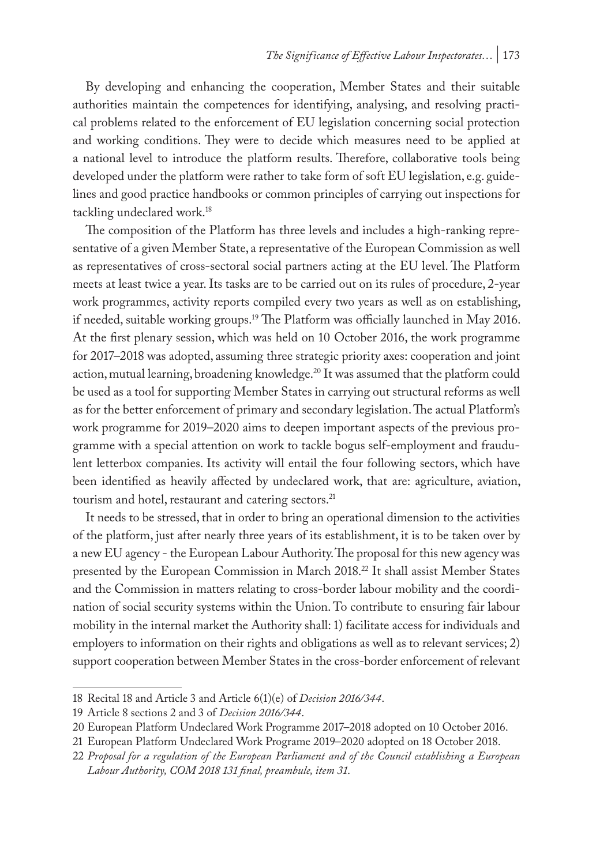By developing and enhancing the cooperation, Member States and their suitable authorities maintain the competences for identifying, analysing, and resolving practical problems related to the enforcement of EU legislation concerning social protection and working conditions. They were to decide which measures need to be applied at a national level to introduce the platform results. Therefore, collaborative tools being developed under the platform were rather to take form of soft EU legislation, e.g. guidelines and good practice handbooks or common principles of carrying out inspections for tackling undeclared work.18

The composition of the Platform has three levels and includes a high-ranking representative of a given Member State, a representative of the European Commission as well as representatives of cross-sectoral social partners acting at the EU level. The Platform meets at least twice a year. Its tasks are to be carried out on its rules of procedure, 2-year work programmes, activity reports compiled every two years as well as on establishing, if needed, suitable working groups.19 The Platform was officially launched in May 2016. At the first plenary session, which was held on 10 October 2016, the work programme for 2017–2018 was adopted, assuming three strategic priority axes: cooperation and joint action, mutual learning, broadening knowledge.20 It was assumed that the platform could be used as a tool for supporting Member States in carrying out structural reforms as well as for the better enforcement of primary and secondary legislation. The actual Platform's work programme for 2019–2020 aims to deepen important aspects of the previous programme with a special attention on work to tackle bogus self-employment and fraudulent letterbox companies. Its activity will entail the four following sectors, which have been identified as heavily affected by undeclared work, that are: agriculture, aviation, tourism and hotel, restaurant and catering sectors.<sup>21</sup>

It needs to be stressed, that in order to bring an operational dimension to the activities of the platform, just after nearly three years of its establishment, it is to be taken over by a new EU agency - the European Labour Authority. The proposal for this new agency was presented by the European Commission in March 2018.<sup>22</sup> It shall assist Member States and the Commission in matters relating to cross-border labour mobility and the coordination of social security systems within the Union. To contribute to ensuring fair labour mobility in the internal market the Authority shall: 1) facilitate access for individuals and employers to information on their rights and obligations as well as to relevant services; 2) support cooperation between Member States in the cross-border enforcement of relevant

<sup>18</sup> Recital 18 and Article 3 and Article 6(1)(e) of *Decision 2016/344*.

<sup>19</sup> Article 8 sections 2 and 3 of *Decision 2016/344*.

<sup>20</sup> European Platform Undeclared Work Programme 2017–2018 adopted on 10 October 2016.

<sup>21</sup> European Platform Undeclared Work Programe 2019–2020 adopted on 18 October 2018.

<sup>22</sup> *Proposal for a regulation of the European Parliament and of the Council establishing a European Labour Authority, COM 2018 131 final, preambule, item 31*.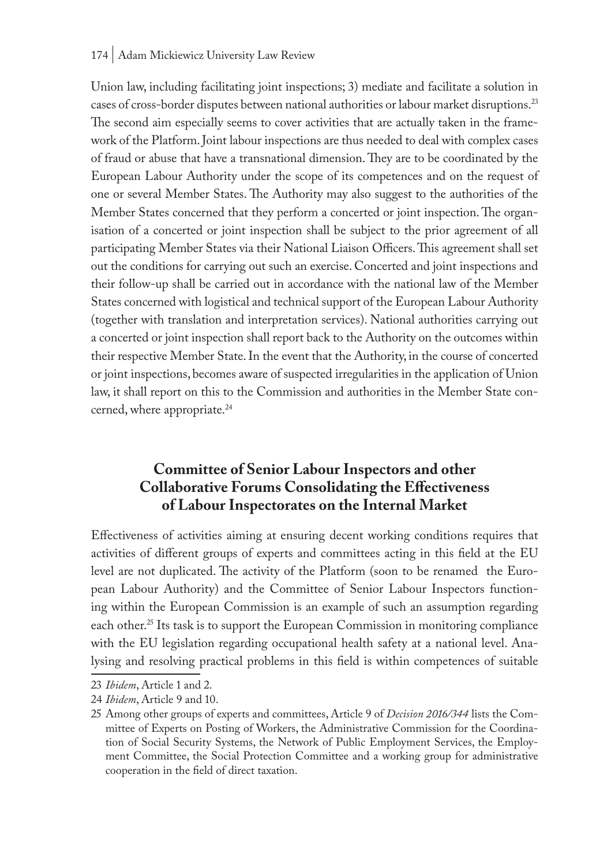#### 174 | Adam Mickiewicz University Law Review

Union law, including facilitating joint inspections; 3) mediate and facilitate a solution in cases of cross-border disputes between national authorities or labour market disruptions.23 The second aim especially seems to cover activities that are actually taken in the framework of the Platform. Joint labour inspections are thus needed to deal with complex cases of fraud or abuse that have a transnational dimension. They are to be coordinated by the European Labour Authority under the scope of its competences and on the request of one or several Member States. The Authority may also suggest to the authorities of the Member States concerned that they perform a concerted or joint inspection. The organisation of a concerted or joint inspection shall be subject to the prior agreement of all participating Member States via their National Liaison Officers. This agreement shall set out the conditions for carrying out such an exercise. Concerted and joint inspections and their follow-up shall be carried out in accordance with the national law of the Member States concerned with logistical and technical support of the European Labour Authority (together with translation and interpretation services). National authorities carrying out a concerted or joint inspection shall report back to the Authority on the outcomes within their respective Member State. In the event that the Authority, in the course of concerted or joint inspections, becomes aware of suspected irregularities in the application of Union law, it shall report on this to the Commission and authorities in the Member State concerned, where appropriate.<sup>24</sup>

# **Committee of Senior Labour Inspectors and other Collaborative Forums Consolidating the Effectiveness of Labour Inspectorates on the Internal Market**

Effectiveness of activities aiming at ensuring decent working conditions requires that activities of different groups of experts and committees acting in this field at the EU level are not duplicated. The activity of the Platform (soon to be renamed the European Labour Authority) and the Committee of Senior Labour Inspectors functioning within the European Commission is an example of such an assumption regarding each other.<sup>25</sup> Its task is to support the European Commission in monitoring compliance with the EU legislation regarding occupational health safety at a national level. Analysing and resolving practical problems in this field is within competences of suitable

<sup>23</sup> *Ibidem*, Article 1 and 2.

<sup>24</sup> *Ibidem*, Article 9 and 10.

<sup>25</sup> Among other groups of experts and committees, Article 9 of *Decision 2016/344* lists the Committee of Experts on Posting of Workers, the Administrative Commission for the Coordination of Social Security Systems, the Network of Public Employment Services, the Employment Committee, the Social Protection Committee and a working group for administrative cooperation in the field of direct taxation.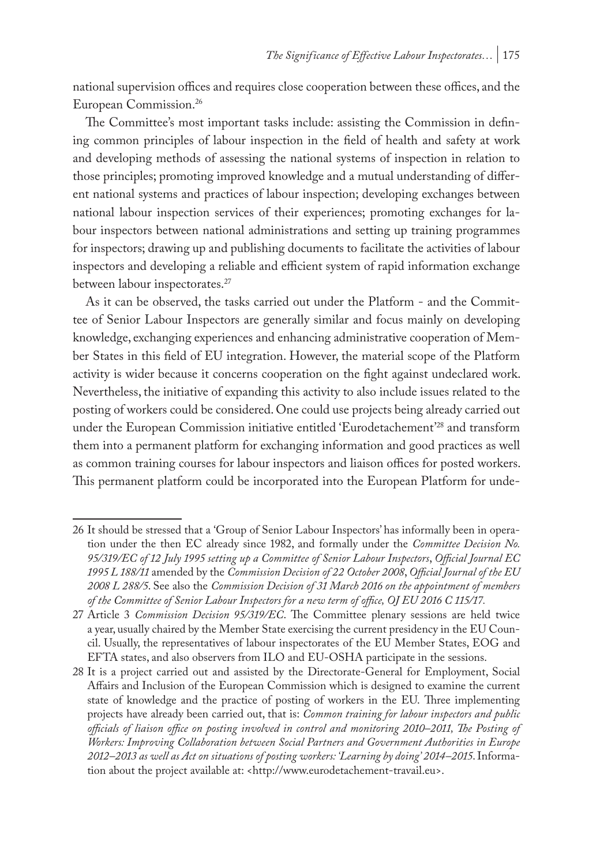national supervision offices and requires close cooperation between these offices, and the European Commission.26

The Committee's most important tasks include: assisting the Commission in defining common principles of labour inspection in the field of health and safety at work and developing methods of assessing the national systems of inspection in relation to those principles; promoting improved knowledge and a mutual understanding of different national systems and practices of labour inspection; developing exchanges between national labour inspection services of their experiences; promoting exchanges for labour inspectors between national administrations and setting up training programmes for inspectors; drawing up and publishing documents to facilitate the activities of labour inspectors and developing a reliable and efficient system of rapid information exchange between labour inspectorates.27

As it can be observed, the tasks carried out under the Platform - and the Committee of Senior Labour Inspectors are generally similar and focus mainly on developing knowledge, exchanging experiences and enhancing administrative cooperation of Member States in this field of EU integration. However, the material scope of the Platform activity is wider because it concerns cooperation on the fight against undeclared work. Nevertheless, the initiative of expanding this activity to also include issues related to the posting of workers could be considered. One could use projects being already carried out under the European Commission initiative entitled 'Eurodetachement'28 and transform them into a permanent platform for exchanging information and good practices as well as common training courses for labour inspectors and liaison offices for posted workers. This permanent platform could be incorporated into the European Platform for unde-

<sup>26</sup> It should be stressed that a 'Group of Senior Labour Inspectors' has informally been in operation under the then EC already since 1982, and formally under the *Committee Decision No. 95/319/EC of 12 July 1995 setting up a Committee of Senior Labour Inspectors*, *Official Journal EC 1995 L 188/11* amended by the *Commission Decision of 22 October 2008*, *Official Journal of the EU 2008 L 288/5*. See also the *Commission Decision of 31 March 2016 on the appointment of members of the Committee of Senior Labour Inspectors for a new term of office, OJ EU 2016 C 115/17.*

<sup>27</sup> Article 3 *Commission Decision 95/319/EC*. The Committee plenary sessions are held twice a year, usually chaired by the Member State exercising the current presidency in the EU Council. Usually, the representatives of labour inspectorates of the EU Member States, EOG and EFTA states, and also observers from ILO and EU-OSHA participate in the sessions.

<sup>28</sup> It is a project carried out and assisted by the Directorate-General for Employment, Social Affairs and Inclusion of the European Commission which is designed to examine the current state of knowledge and the practice of posting of workers in the EU. Three implementing projects have already been carried out, that is: *Common training for labour inspectors and public officials of liaison office on posting involved in control and monitoring 2010–2011, The Posting of Workers: Improving Collaboration between Social Partners and Government Authorities in Europe 2012–2013 as well as Act on situations of posting workers: 'Learning by doing' 2014–2015*. Information about the project available at: <http://www.eurodetachement-travail.eu>.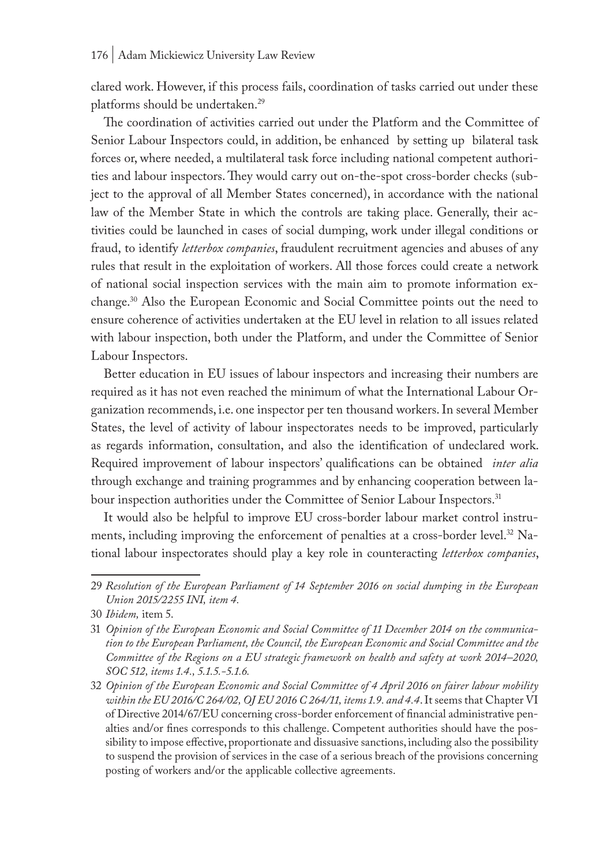clared work. However, if this process fails, coordination of tasks carried out under these platforms should be undertaken.29

The coordination of activities carried out under the Platform and the Committee of Senior Labour Inspectors could, in addition, be enhanced by setting up bilateral task forces or, where needed, a multilateral task force including national competent authorities and labour inspectors. They would carry out on-the-spot cross-border checks (subject to the approval of all Member States concerned), in accordance with the national law of the Member State in which the controls are taking place. Generally, their activities could be launched in cases of social dumping, work under illegal conditions or fraud, to identify *letterbox companies*, fraudulent recruitment agencies and abuses of any rules that result in the exploitation of workers. All those forces could create a network of national social inspection services with the main aim to promote information exchange.30 Also the European Economic and Social Committee points out the need to ensure coherence of activities undertaken at the EU level in relation to all issues related with labour inspection, both under the Platform, and under the Committee of Senior Labour Inspectors.

Better education in EU issues of labour inspectors and increasing their numbers are required as it has not even reached the minimum of what the International Labour Organization recommends, i.e. one inspector per ten thousand workers. In several Member States, the level of activity of labour inspectorates needs to be improved, particularly as regards information, consultation, and also the identification of undeclared work. Required improvement of labour inspectors' qualifications can be obtained *inter alia*  through exchange and training programmes and by enhancing cooperation between labour inspection authorities under the Committee of Senior Labour Inspectors.<sup>31</sup>

It would also be helpful to improve EU cross-border labour market control instruments, including improving the enforcement of penalties at a cross-border level.32 National labour inspectorates should play a key role in counteracting *letterbox companies*,

<sup>29</sup> *Resolution of the European Parliament of 14 September 2016 on social dumping in the European Union 2015/2255 INI, item 4.*

<sup>30</sup> *Ibidem,* item 5.

<sup>31</sup> *Opinion of the European Economic and Social Committee of 11 December 2014 on the communication to the European Parliament, the Council, the European Economic and Social Committee and the Committee of the Regions on a EU strategic framework on health and safety at work 2014–2020, SOC 512, items 1.4., 5.1.5.-5.1.6.*

<sup>32</sup> *Opinion of the European Economic and Social Committee of 4 April 2016 on fairer labour mobility within the EU 2016/C 264/02, OJ EU 2016 C 264/11, items 1.9. and 4.4*. It seems that Chapter VI of Directive 2014/67/EU concerning cross-border enforcement of financial administrative penalties and/or fines corresponds to this challenge. Competent authorities should have the possibility to impose effective, proportionate and dissuasive sanctions, including also the possibility to suspend the provision of services in the case of a serious breach of the provisions concerning posting of workers and/or the applicable collective agreements.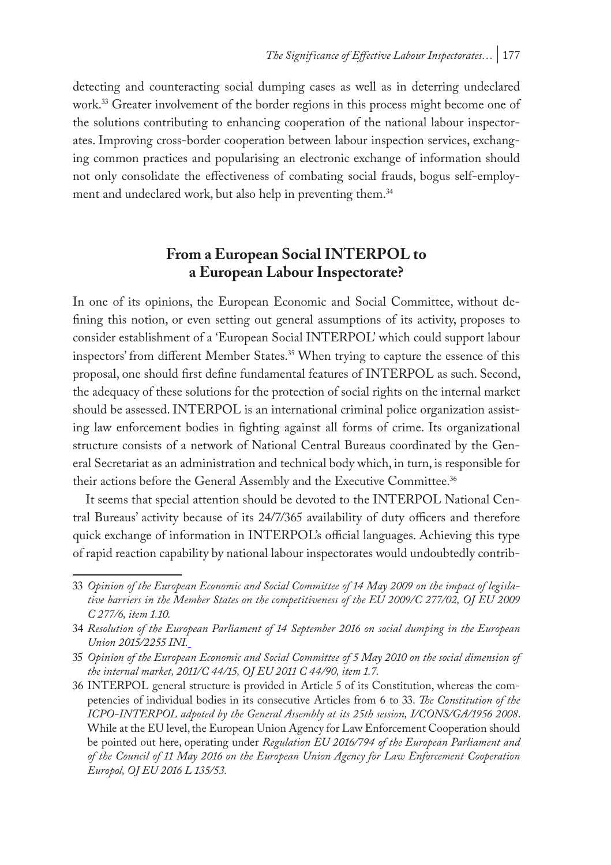detecting and counteracting social dumping cases as well as in deterring undeclared work.<sup>33</sup> Greater involvement of the border regions in this process might become one of the solutions contributing to enhancing cooperation of the national labour inspectorates. Improving cross-border cooperation between labour inspection services, exchanging common practices and popularising an electronic exchange of information should not only consolidate the effectiveness of combating social frauds, bogus self-employment and undeclared work, but also help in preventing them.<sup>34</sup>

# **From a European Social INTERPOL to a European Labour Inspectorate?**

In one of its opinions, the European Economic and Social Committee, without defining this notion, or even setting out general assumptions of its activity, proposes to consider establishment of a 'European Social INTERPOL' which could support labour inspectors' from different Member States.35 When trying to capture the essence of this proposal, one should first define fundamental features of INTERPOL as such. Second, the adequacy of these solutions for the protection of social rights on the internal market should be assessed. INTERPOL is an international criminal police organization assisting law enforcement bodies in fighting against all forms of crime. Its organizational structure consists of a network of National Central Bureaus coordinated by the General Secretariat as an administration and technical body which, in turn, is responsible for their actions before the General Assembly and the Executive Committee.<sup>36</sup>

It seems that special attention should be devoted to the INTERPOL National Central Bureaus' activity because of its 24/7/365 availability of duty officers and therefore quick exchange of information in INTERPOL's official languages. Achieving this type of rapid reaction capability by national labour inspectorates would undoubtedly contrib-

<sup>33</sup> *Opinion of the European Economic and Social Committee of 14 May 2009 on the impact of legislative barriers in the Member States on the competitiveness of the EU 2009/C 277/02, OJ EU 2009 C 277/6, item 1.10.*

<sup>34</sup> *Resolution of the European Parliament of 14 September 2016 on social dumping in the European Union 2015/2255 INI.*

<sup>35</sup> *Opinion of the European Economic and Social Committee of 5 May 2010 on the social dimension of the internal market, 2011/C 44/15, OJ EU 2011 C 44/90, item 1.7.*

<sup>36</sup> INTERPOL general structure is provided in Article 5 of its Constitution, whereas the competencies of individual bodies in its consecutive Articles from 6 to 33. *The Constitution of the ICPO-INTERPOL adpoted by the General Assembly at its 25th session, I/CONS/GA/1956 2008*. While at the EU level, the European Union Agency for Law Enforcement Cooperation should be pointed out here, operating under *Regulation EU 2016/794 of the European Parliament and of the Council of 11 May 2016 on the European Union Agency for Law Enforcement Cooperation Europol, OJ EU 2016 L 135/53.*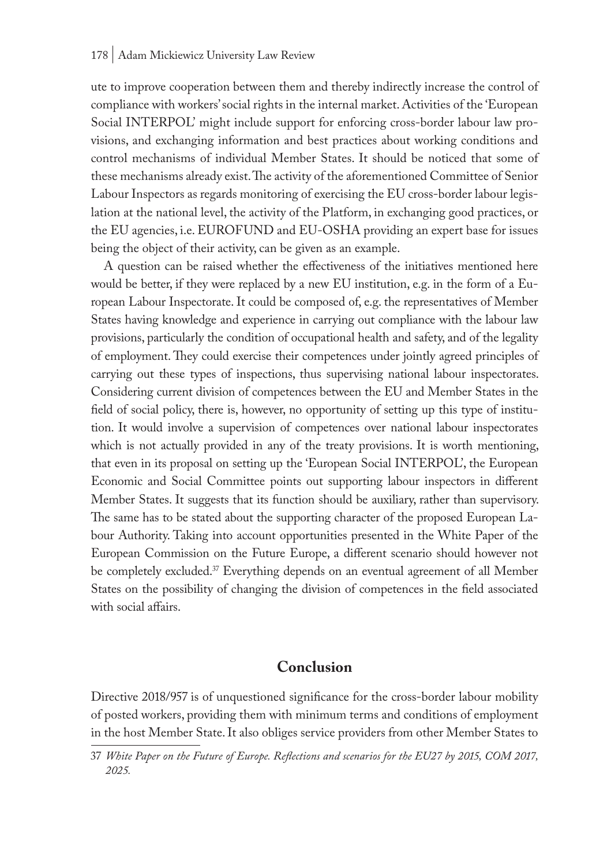ute to improve cooperation between them and thereby indirectly increase the control of compliance with workers' social rights in the internal market. Activities of the 'European Social INTERPOL' might include support for enforcing cross-border labour law provisions, and exchanging information and best practices about working conditions and control mechanisms of individual Member States. It should be noticed that some of these mechanisms already exist. The activity of the aforementioned Committee of Senior Labour Inspectors as regards monitoring of exercising the EU cross-border labour legislation at the national level, the activity of the Platform, in exchanging good practices, or the EU agencies, i.e. EUROFUND and EU-OSHA providing an expert base for issues being the object of their activity, can be given as an example.

A question can be raised whether the effectiveness of the initiatives mentioned here would be better, if they were replaced by a new EU institution, e.g. in the form of a European Labour Inspectorate. It could be composed of, e.g. the representatives of Member States having knowledge and experience in carrying out compliance with the labour law provisions, particularly the condition of occupational health and safety, and of the legality of employment. They could exercise their competences under jointly agreed principles of carrying out these types of inspections, thus supervising national labour inspectorates. Considering current division of competences between the EU and Member States in the field of social policy, there is, however, no opportunity of setting up this type of institution. It would involve a supervision of competences over national labour inspectorates which is not actually provided in any of the treaty provisions. It is worth mentioning, that even in its proposal on setting up the 'European Social INTERPOL', the European Economic and Social Committee points out supporting labour inspectors in different Member States. It suggests that its function should be auxiliary, rather than supervisory. The same has to be stated about the supporting character of the proposed European Labour Authority. Taking into account opportunities presented in the White Paper of the European Commission on the Future Europe, a different scenario should however not be completely excluded.37 Everything depends on an eventual agreement of all Member States on the possibility of changing the division of competences in the field associated with social affairs.

### **Conclusion**

Directive 2018/957 is of unquestioned significance for the cross-border labour mobility of posted workers, providing them with minimum terms and conditions of employment in the host Member State. It also obliges service providers from other Member States to

<sup>37</sup> *White Paper on the Future of Europe. Reflections and scenarios for the EU27 by 2015, COM 2017, 2025.*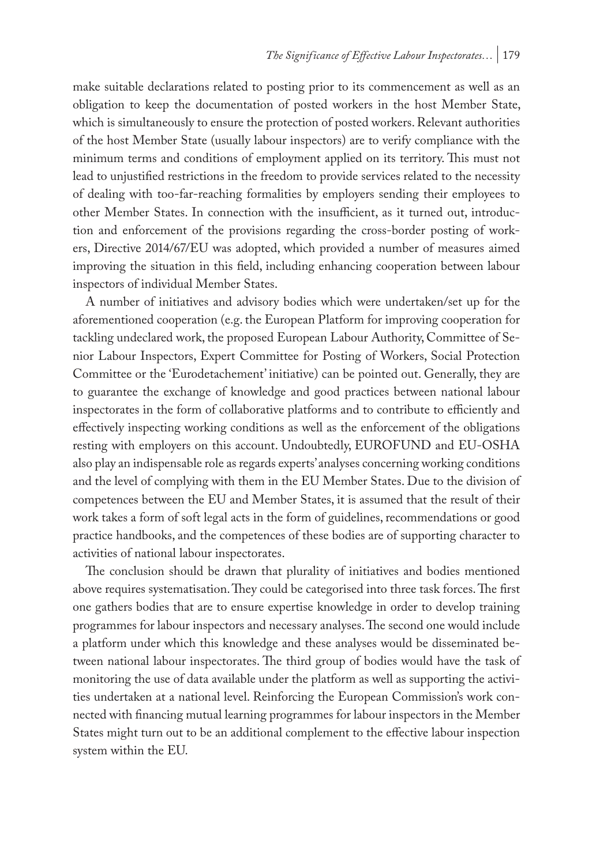make suitable declarations related to posting prior to its commencement as well as an obligation to keep the documentation of posted workers in the host Member State, which is simultaneously to ensure the protection of posted workers. Relevant authorities of the host Member State (usually labour inspectors) are to verify compliance with the minimum terms and conditions of employment applied on its territory. This must not lead to unjustified restrictions in the freedom to provide services related to the necessity of dealing with too-far-reaching formalities by employers sending their employees to other Member States. In connection with the insufficient, as it turned out, introduction and enforcement of the provisions regarding the cross-border posting of workers, Directive 2014/67/EU was adopted, which provided a number of measures aimed improving the situation in this field, including enhancing cooperation between labour inspectors of individual Member States.

A number of initiatives and advisory bodies which were undertaken/set up for the aforementioned cooperation (e.g. the European Platform for improving cooperation for tackling undeclared work, the proposed European Labour Authority, Committee of Senior Labour Inspectors, Expert Committee for Posting of Workers, Social Protection Committee or the 'Eurodetachement' initiative) can be pointed out. Generally, they are to guarantee the exchange of knowledge and good practices between national labour inspectorates in the form of collaborative platforms and to contribute to efficiently and effectively inspecting working conditions as well as the enforcement of the obligations resting with employers on this account. Undoubtedly, EUROFUND and EU-OSHA also play an indispensable role as regards experts' analyses concerning working conditions and the level of complying with them in the EU Member States. Due to the division of competences between the EU and Member States, it is assumed that the result of their work takes a form of soft legal acts in the form of guidelines, recommendations or good practice handbooks, and the competences of these bodies are of supporting character to activities of national labour inspectorates.

The conclusion should be drawn that plurality of initiatives and bodies mentioned above requires systematisation. They could be categorised into three task forces. The first one gathers bodies that are to ensure expertise knowledge in order to develop training programmes for labour inspectors and necessary analyses. The second one would include a platform under which this knowledge and these analyses would be disseminated between national labour inspectorates. The third group of bodies would have the task of monitoring the use of data available under the platform as well as supporting the activities undertaken at a national level. Reinforcing the European Commission's work connected with financing mutual learning programmes for labour inspectors in the Member States might turn out to be an additional complement to the effective labour inspection system within the EU.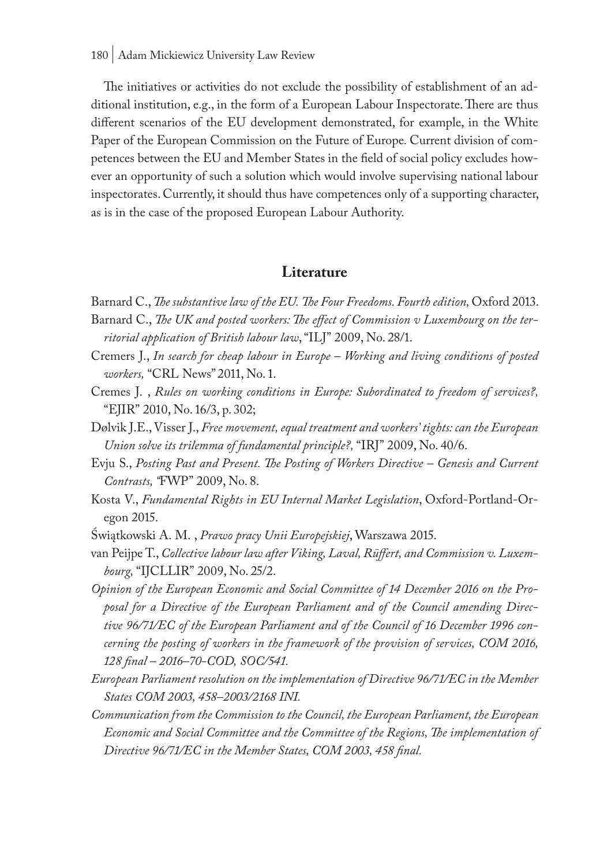The initiatives or activities do not exclude the possibility of establishment of an additional institution, e.g., in the form of a European Labour Inspectorate. There are thus different scenarios of the EU development demonstrated, for example, in the White Paper of the European Commission on the Future of Europe*.* Current division of competences between the EU and Member States in the field of social policy excludes however an opportunity of such a solution which would involve supervising national labour inspectorates. Currently, it should thus have competences only of a supporting character, as is in the case of the proposed European Labour Authority.

### **Literature**

Barnard C., *The substantive law of the EU. The Four Freedoms. Fourth edition*, Oxford 2013.

- Barnard C., *The UK and posted workers: The effect of Commission v Luxembourg on the territorial application of British labour law*, "ILJ" 2009, No. 28/1.
- Cremers J., *In search for cheap labour in Europe Working and living conditions of posted workers,* "CRL News" 2011, No. 1.
- Cremes J. , *Rules on working conditions in Europe: Subordinated to freedom of services?,*  "EJIR" 2010, No. 16/3, p. 302;
- Dølvik J.E., Visser J., *Free movement, equal treatment and workers' tights: can the European Union solve its trilemma of fundamental principle?,* "IRJ" 2009, No. 40/6.
- Evju S., *Posting Past and Present. The Posting of Workers Directive Genesis and Current Contrasts, "*FWP" 2009, No. 8.
- Kosta V., *Fundamental Rights in EU Internal Market Legislation*, Oxford-Portland-Oregon 2015.
- Świątkowski A. M. , *Prawo pracy Unii Europejskiej*, Warszawa 2015.
- van Peijpe T., *Collective labour law after Viking, Laval, Rüffert, and Commission v. Luxembourg,* "IJCLLIR" 2009, No. 25/2.
- *Opinion of the European Economic and Social Committee of 14 December 2016 on the Proposal for a Directive of the European Parliament and of the Council amending Directive 96/71/EC of the European Parliament and of the Council of 16 December 1996 concerning the posting of workers in the framework of the provision of services, COM 2016, 128 final – 2016–70-COD, SOC/541.*
- *European Parliament resolution on the implementation of Directive 96/71/EC in the Member States COM 2003, 458–2003/2168 INI.*
- *Communication from the Commission to the Council, the European Parliament, the European Economic and Social Committee and the Committee of the Regions, The implementation of Directive 96/71/EC in the Member States, COM 2003, 458 final.*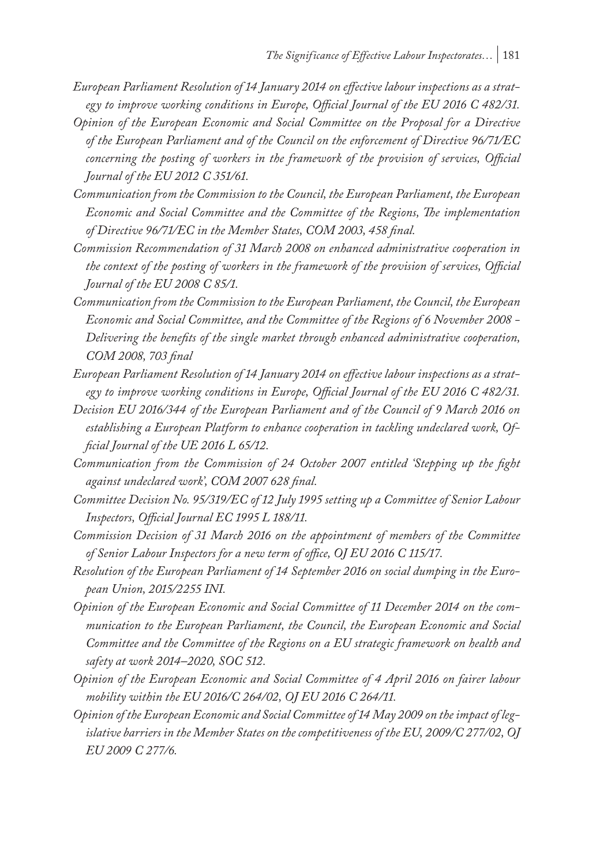- *European Parliament Resolution of 14 January 2014 on effective labour inspections as a strategy to improve working conditions in Europe, Official Journal of the EU 2016 C 482/31.*
- *Opinion of the European Economic and Social Committee on the Proposal for a Directive of the European Parliament and of the Council on the enforcement of Directive 96/71/EC concerning the posting of workers in the framework of the provision of services, Official Journal of the EU 2012 C 351/61.*
- *Communication from the Commission to the Council, the European Parliament, the European Economic and Social Committee and the Committee of the Regions, The implementation of Directive 96/71/EC in the Member States, COM 2003, 458 final.*
- *Commission Recommendation of 31 March 2008 on enhanced administrative cooperation in the context of the posting of workers in the framework of the provision of services, Official Journal of the EU 2008 C 85/1.*
- *Communication from the Commission to the European Parliament, the Council, the European Economic and Social Committee, and the Committee of the Regions of 6 November 2008 - Delivering the benefits of the single market through enhanced administrative cooperation, COM 2008, 703 final*
- *European Parliament Resolution of 14 January 2014 on effective labour inspections as a strategy to improve working conditions in Europe, Official Journal of the EU 2016 C 482/31.*
- *Decision EU 2016/344 of the European Parliament and of the Council of 9 March 2016 on establishing a European Platform to enhance cooperation in tackling undeclared work, Official Journal of the UE 2016 L 65/12.*
- *Communication from the Commission of 24 October 2007 entitled 'Stepping up the fight against undeclared work', COM 2007 628 final.*
- *Committee Decision No. 95/319/EC of 12 July 1995 setting up a Committee of Senior Labour Inspectors, Official Journal EC 1995 L 188/11.*
- *Commission Decision of 31 March 2016 on the appointment of members of the Committee of Senior Labour Inspectors for a new term of office, OJ EU 2016 C 115/17.*
- *Resolution of the European Parliament of 14 September 2016 on social dumping in the European Union, 2015/2255 INI.*
- *Opinion of the European Economic and Social Committee of 11 December 2014 on the communication to the European Parliament, the Council, the European Economic and Social Committee and the Committee of the Regions on a EU strategic framework on health and safety at work 2014–2020, SOC 512.*
- *Opinion of the European Economic and Social Committee of 4 April 2016 on fairer labour mobility within the EU 2016/C 264/02, OJ EU 2016 C 264/11.*
- *Opinion of the European Economic and Social Committee of 14 May 2009 on the impact of legislative barriers in the Member States on the competitiveness of the EU, 2009/C 277/02, OJ EU 2009 C 277/6.*